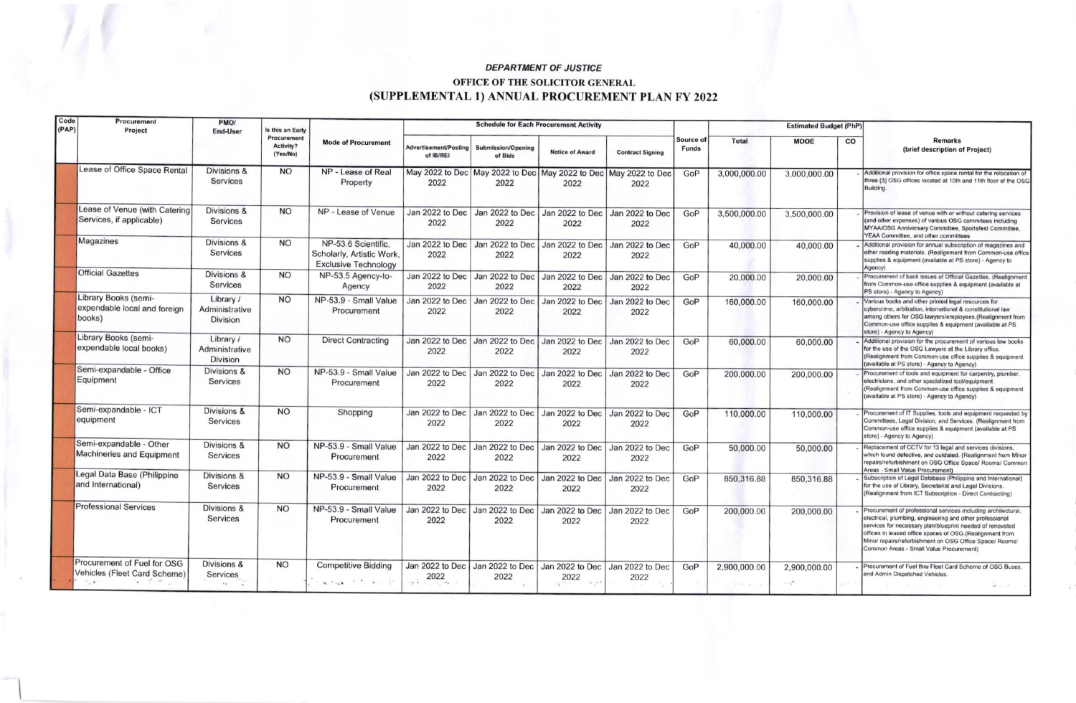## **DEPARTMENT OF JUSTICE**

## OFFICE OF THE SOLICITOR GENERAL (SUPPLEMENTAL 1) ANNUAL PROCUREMENT PLAN FY 2022

| Code<br>(PAP) | Procurement<br>Project                                                                     | PMO/<br><b>End-User</b>                               | Is this an Early<br>Procurement<br>Activity?<br>(Yes/No) | <b>Mode of Procurement</b>                                                                                                                                                                                                                                                                                                                                                                                                                             | <b>Schedule for Each Procurement Activity</b> |                                                                               |                         |                         |                           | <b>Estimated Budget (PhP)</b>       |                                |             |                                                                                                                                                                                                                                                                                                                                                          |
|---------------|--------------------------------------------------------------------------------------------|-------------------------------------------------------|----------------------------------------------------------|--------------------------------------------------------------------------------------------------------------------------------------------------------------------------------------------------------------------------------------------------------------------------------------------------------------------------------------------------------------------------------------------------------------------------------------------------------|-----------------------------------------------|-------------------------------------------------------------------------------|-------------------------|-------------------------|---------------------------|-------------------------------------|--------------------------------|-------------|----------------------------------------------------------------------------------------------------------------------------------------------------------------------------------------------------------------------------------------------------------------------------------------------------------------------------------------------------------|
|               |                                                                                            |                                                       |                                                          |                                                                                                                                                                                                                                                                                                                                                                                                                                                        | <b>Advertisement/Posting</b><br>of IB/REI     | <b>Submission/Opening</b><br>of Bids                                          | <b>Notice of Award</b>  | <b>Contract Signing</b> | Source of<br><b>Funds</b> | <b>Total</b>                        | MOOE                           | $_{\rm co}$ | <b>Remarks</b><br>(brief description of Project)                                                                                                                                                                                                                                                                                                         |
|               | Lease of Office Space Rental                                                               | Divisions &<br>Services                               | <b>NO</b>                                                | NP - Lease of Real<br>Property                                                                                                                                                                                                                                                                                                                                                                                                                         | 2022                                          | May 2022 to Dec   May 2022 to Dec   May 2022 to Dec   May 2022 to Dec<br>2022 | 2022                    | 2022                    | GoP                       | 3,000,000.00                        | 3,000,000.00                   |             | Additional provision for office space rental for the relocation of<br>three (3) OSG offices located at 10th and 11th floor of the OSG<br>Building.                                                                                                                                                                                                       |
|               | Lease of Venue (with Catering<br>Services, if applicable)                                  | Divisions &<br><b>Services</b>                        | <b>NO</b>                                                | NP - Lease of Venue                                                                                                                                                                                                                                                                                                                                                                                                                                    | 2022                                          | Jan 2022 to Dec Jan 2022 to Dec Jan 2022 to Dec<br>2022                       | 2022                    | Jan 2022 to Dec<br>2022 | GoP                       | 3,500,000.00                        | 3,500,000.00                   |             | Provision of lease of venue with or without catering services<br>(and other expenses) of various OSG commitees including<br>MYAA/OSG Anniversary Committee, Sportsfest Committee,<br>YEAA Committee, and other committees                                                                                                                                |
|               | Magazines                                                                                  | Divisions &<br>Services                               | <b>NO</b>                                                | NP-53.6 Scientific.<br>Scholarly, Artistic Work.<br><b>Exclusive Technology</b>                                                                                                                                                                                                                                                                                                                                                                        | Jan 2022 to Dec<br>2022                       | Jan 2022 to Dec   Jan 2022 to Dec  <br>2022                                   | 2022                    | Jan 2022 to Dec<br>2022 | GoP                       | 40,000.00                           | 40,000.00                      |             | Additional provision for annual subscription of magazines and<br>other reading materials. (Realignment from Common-use office<br>supplies & equipment (available at PS store) - Agency to<br>Agency)                                                                                                                                                     |
|               | <b>Official Gazettes</b>                                                                   | Divisions &<br>Services                               | <b>NO</b>                                                | NP-53.5 Agency-to-<br>Agency                                                                                                                                                                                                                                                                                                                                                                                                                           | 2022                                          | Jan 2022 to Dec Jan 2022 to Dec Jan 2022 to Dec<br>2022                       | 2022                    | Jan 2022 to Dec<br>2022 | GoP                       | 20,000.00                           | 20,000.00                      |             | Procurement of back issues of Official Gazettes. (Realignment<br>from Common-use office supplies & equipment (available at<br>PS store) - Agency to Agency)                                                                                                                                                                                              |
|               | Library Books (semi-<br>expendable local and foreign<br>books)                             | Library /<br>Administrative<br><b>Division</b>        | <b>NO</b>                                                | NP-53.9 - Small Value<br>Procurement                                                                                                                                                                                                                                                                                                                                                                                                                   | Jan 2022 to Dec<br>2022                       | Jan 2022 to Dec<br>2022                                                       | Jan 2022 to Dec<br>2022 | Jan 2022 to Dec<br>2022 | GoP                       | 160,000.00                          | 160,000.00                     |             | Various books and other printed legal resources for<br>cybercrime, arbitration, international & constitutional law<br>among others for OSG lawyers/employees.(Realignment from<br>Common-use office supplies & equipment (available at PS<br>store) - Agency to Agency)                                                                                  |
|               | Library Books (semi-<br>expendable local books)                                            | Library /<br>Administrative<br><b>Division</b>        | <b>NO</b>                                                | <b>Direct Contracting</b>                                                                                                                                                                                                                                                                                                                                                                                                                              | 2022                                          | Jan 2022 to Dec Jan 2022 to Dec<br>2022                                       | Jan 2022 to Dec<br>2022 | Jan 2022 to Dec<br>2022 | GoP                       | 60,000.00                           | 60,000.00                      |             | Additional provision for the procurement of various law books<br>for the use of the OSG Lawyers at the Library office.<br>(Realignment from Common-use office supplies & equipment<br>(available at PS store) - Agency to Agency)                                                                                                                        |
|               | Semi-expandable - Office<br>Equipment                                                      | Divisions &<br>Services                               | <b>NO</b>                                                | NP-53.9 - Small Value<br>Procurement                                                                                                                                                                                                                                                                                                                                                                                                                   | Jan 2022 to Dec<br>2022                       | Jan 2022 to Dec<br>2022                                                       | Jan 2022 to Dec<br>2022 | Jan 2022 to Dec<br>2022 | GoP                       | 200,000.00                          | 200,000.00                     |             | Procurement of tools and equipment for carpentry, plumber,<br>electricians, and other specialized tool/equipment<br>(Realignment from Common-use office supplies & equipment<br>(available at PS store) - Agency to Agency)                                                                                                                              |
|               | Semi-expandable - ICT<br>equipment                                                         | Divisions &<br><b>Services</b>                        | <b>NO</b>                                                | Shopping                                                                                                                                                                                                                                                                                                                                                                                                                                               | Jan 2022 to Dec<br>2022                       | Jan 2022 to Dec<br>2022                                                       | Jan 2022 to Dec<br>2022 | Jan 2022 to Dec<br>2022 | GoP                       | 110,000.00                          | 110,000.00                     |             | Procurement of IT Supplies, tools and equipment requested by<br>Committees, Legal Division, and Services. (Realignment from<br>Common-use office supplies & equipment (available at PS<br>store) - Agency to Agency)                                                                                                                                     |
|               | Semi-expandable - Other<br><b>Machineries and Equipment</b>                                | Divisions &<br><b>Services</b>                        | <b>NO</b>                                                | NP-53.9 - Small Value<br>Procurement                                                                                                                                                                                                                                                                                                                                                                                                                   | Jan 2022 to Dec<br>2022                       | Jan 2022 to Dec<br>2022                                                       | Jan 2022 to Dec<br>2022 | Jan 2022 to Dec<br>2022 | GoP                       | 50,000.00                           | 50,000.00                      |             | Replacement of CCTV for 13 legal and services divisions,<br>which found defective, and outdated. (Realignment from Minor<br>repairs/refurbishment on OSG Office Space/ Rooms/ Common<br>Areas - Small Value Procurement)                                                                                                                                 |
|               | Legal Data Base (Philippine<br>and International)                                          | Divisions &<br><b>Services</b>                        | <b>NO</b>                                                | NP-53.9 - Small Value<br>Procurement                                                                                                                                                                                                                                                                                                                                                                                                                   | Jan 2022 to Dec<br>2022                       | Jan 2022 to Dec Jan 2022 to Dec<br>2022                                       | 2022                    | Jan 2022 to Dec<br>2022 | GoP                       | 850,316.88                          | 850,316.88                     |             | Subscription of Legal Database (Philippine and International)<br>for the use of Library, Secretariat and Legal Divisions.<br>(Realignment from ICT Subscription - Direct Contracting)                                                                                                                                                                    |
|               | <b>Professional Services</b>                                                               | Divisions &<br><b>Services</b>                        | <b>NO</b>                                                | NP-53.9 - Small Value<br>Procurement                                                                                                                                                                                                                                                                                                                                                                                                                   | Jan 2022 to Dec<br>2022                       | Jan 2022 to Dec<br>2022                                                       | Jan 2022 to Dec<br>2022 | Jan 2022 to Dec<br>2022 | GoP                       | 200,000.00                          | 200,000.00                     |             | Procurement of professional services including architectural,<br>electrical, plumbing, engineering and other professional<br>services for necessary plan/blueprint needed of renovated<br>offices in leased office spaces of OSG.(Realignment from<br>Minor repairs/refurbishment on OSG Office Space/ Rooms/<br>Common Areas - Small Value Procurement) |
|               | Procurement of Fuel for OSG<br>Vehicles (Fleet Card Scheme)<br>$\mathcal{F} = \mathcal{F}$ | Divisions &<br>Services<br>$\mathbf{1}_{\mathcal{M}}$ | <b>NO</b>                                                | <b>Competitive Bidding</b><br>$\mathbf{A} = \mathbf{A} \mathbf{A} + \mathbf{A} \mathbf{A} + \mathbf{A} \mathbf{A} + \mathbf{A} \mathbf{A} + \mathbf{A} \mathbf{A} + \mathbf{A} \mathbf{A} + \mathbf{A} \mathbf{A} + \mathbf{A} \mathbf{A} + \mathbf{A} \mathbf{A} + \mathbf{A} \mathbf{A} + \mathbf{A} \mathbf{A} + \mathbf{A} \mathbf{A} + \mathbf{A} \mathbf{A} + \mathbf{A} \mathbf{A} + \mathbf{A} \mathbf{A} + \mathbf{A} \mathbf{A} + \mathbf{A$ | $\frac{2022}{100}$                            | Jan 2022 to Dec Jan 2022 to Dec Jan 2022 to Dec Jan 2022 to Dec<br>2022       | 2022<br>44.18           | 2022                    | GoP                       | 2,900,000.00<br>$2.59 - 1.57 - 1.5$ | 2,900,000.00<br>$\sim 10^{-3}$ |             | Procurement of Fuel thru Fleet Card Scheme of OSG Buses.<br>and Admin Dispatched Vehicles.<br>$20 - 100$                                                                                                                                                                                                                                                 |